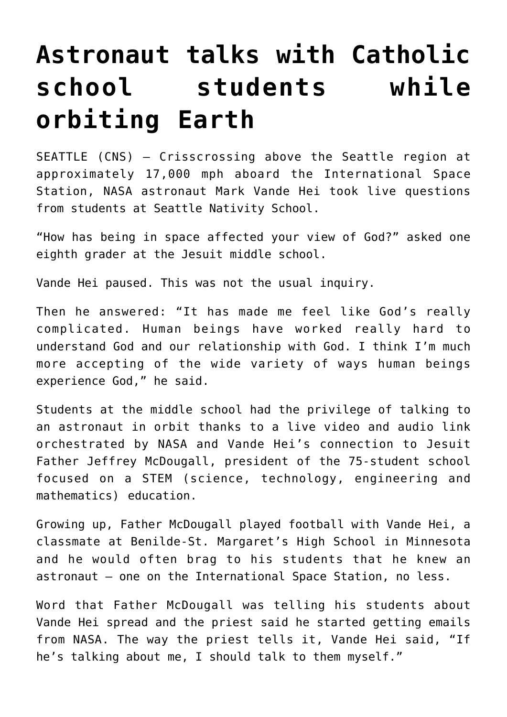## **[Astronaut talks with Catholic](https://www.osvnews.com/2022/01/13/astronaut-talks-with-catholic-school-students-while-orbiting-earth/) [school students while](https://www.osvnews.com/2022/01/13/astronaut-talks-with-catholic-school-students-while-orbiting-earth/) [orbiting Earth](https://www.osvnews.com/2022/01/13/astronaut-talks-with-catholic-school-students-while-orbiting-earth/)**

SEATTLE (CNS) — Crisscrossing above the Seattle region at approximately 17,000 mph aboard the International Space Station, NASA astronaut Mark Vande Hei took live questions from students at Seattle Nativity School.

"How has being in space affected your view of God?" asked one eighth grader at the Jesuit middle school.

Vande Hei paused. This was not the usual inquiry.

Then he answered: "It has made me feel like God's really complicated. Human beings have worked really hard to understand God and our relationship with God. I think I'm much more accepting of the wide variety of ways human beings experience God," he said.

Students at the middle school had the privilege of talking to an astronaut in orbit thanks to a live video and audio link orchestrated by NASA and Vande Hei's connection to Jesuit Father Jeffrey McDougall, president of the 75-student school focused on a STEM (science, technology, engineering and mathematics) education.

Growing up, Father McDougall played football with Vande Hei, a classmate at Benilde-St. Margaret's High School in Minnesota and he would often brag to his students that he knew an astronaut — one on the International Space Station, no less.

Word that Father McDougall was telling his students about Vande Hei spread and the priest said he started getting emails from NASA. The way the priest tells it, Vande Hei said, "If he's talking about me, I should talk to them myself."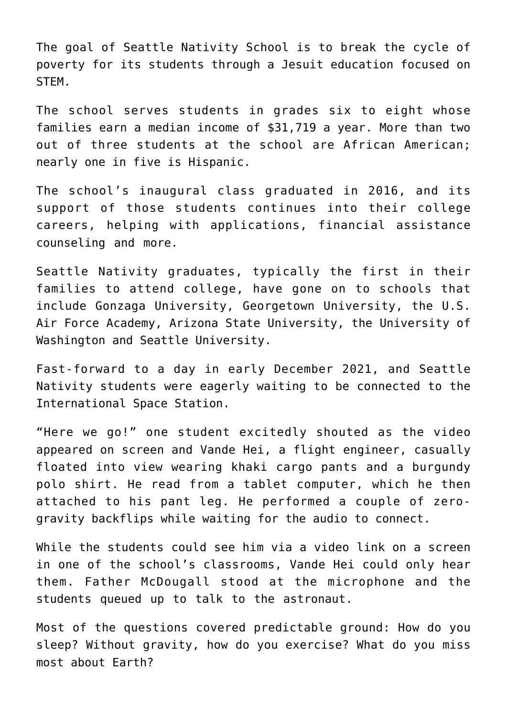The goal of Seattle Nativity School is to break the cycle of poverty for its students through a Jesuit education focused on STEM.

The school serves students in grades six to eight whose families earn a median income of \$31,719 a year. More than two out of three students at the school are African American; nearly one in five is Hispanic.

The school's inaugural class graduated in 2016, and its support of those students continues into their college careers, helping with applications, financial assistance counseling and more.

Seattle Nativity graduates, typically the first in their families to attend college, have gone on to schools that include Gonzaga University, Georgetown University, the U.S. Air Force Academy, Arizona State University, the University of Washington and Seattle University.

Fast-forward to a day in early December 2021, and Seattle Nativity students were eagerly waiting to be connected to the International Space Station.

"Here we go!" one student excitedly shouted as the video appeared on screen and Vande Hei, a flight engineer, casually floated into view wearing khaki cargo pants and a burgundy polo shirt. He read from a tablet computer, which he then attached to his pant leg. He performed a couple of zerogravity backflips while waiting for the audio to connect.

While the students could see him via a video link on a screen in one of the school's classrooms, Vande Hei could only hear them. Father McDougall stood at the microphone and the students queued up to talk to the astronaut.

Most of the questions covered predictable ground: How do you sleep? Without gravity, how do you exercise? What do you miss most about Earth?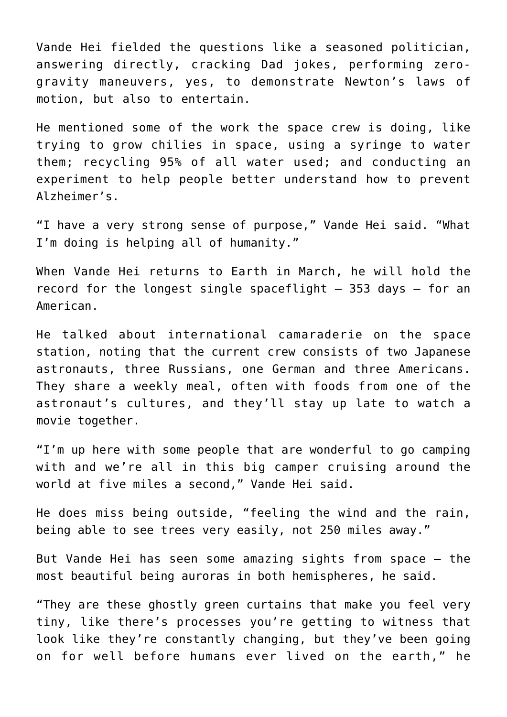Vande Hei fielded the questions like a seasoned politician, answering directly, cracking Dad jokes, performing zerogravity maneuvers, yes, to demonstrate Newton's laws of motion, but also to entertain.

He mentioned some of the work the space crew is doing, like trying to grow chilies in space, using a syringe to water them; recycling 95% of all water used; and conducting an experiment to help people better understand how to prevent Alzheimer's.

"I have a very strong sense of purpose," Vande Hei said. "What I'm doing is helping all of humanity."

When Vande Hei returns to Earth in March, he will hold the record for the longest single spaceflight — 353 days — for an American.

He talked about international camaraderie on the space station, noting that the current crew consists of two Japanese astronauts, three Russians, one German and three Americans. They share a weekly meal, often with foods from one of the astronaut's cultures, and they'll stay up late to watch a movie together.

"I'm up here with some people that are wonderful to go camping with and we're all in this big camper cruising around the world at five miles a second," Vande Hei said.

He does miss being outside, "feeling the wind and the rain, being able to see trees very easily, not 250 miles away."

But Vande Hei has seen some amazing sights from space — the most beautiful being auroras in both hemispheres, he said.

"They are these ghostly green curtains that make you feel very tiny, like there's processes you're getting to witness that look like they're constantly changing, but they've been going on for well before humans ever lived on the earth," he